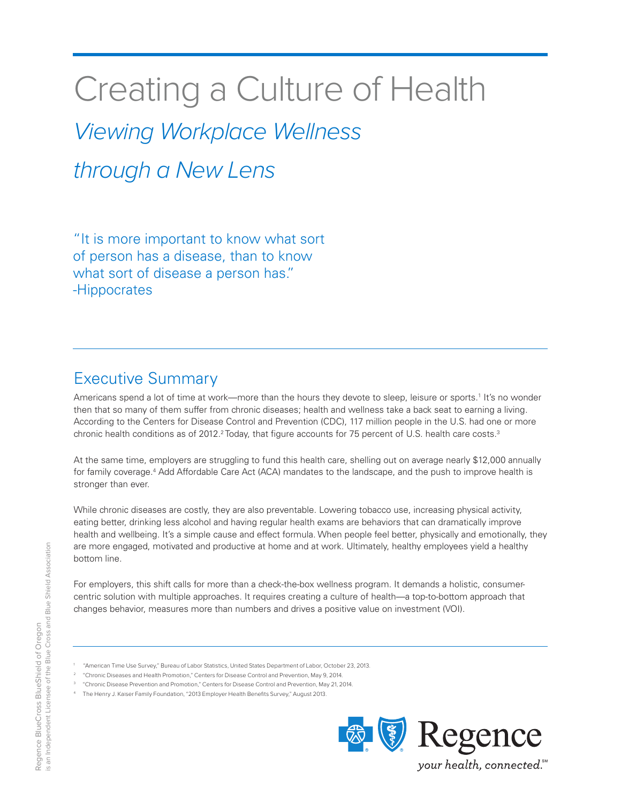# Creating a Culture of Health

*Viewing Workplace Wellness* 

*through a New Lens*

"It is more important to know what sort of person has a disease, than to know what sort of disease a person has." -Hippocrates

### Executive Summary

Americans spend a lot of time at work—more than the hours they devote to sleep, leisure or sports.<sup>1</sup> It's no wonder then that so many of them suffer from chronic diseases; health and wellness take a back seat to earning a living. According to the Centers for Disease Control and Prevention (CDC), 117 million people in the U.S. had one or more chronic health conditions as of 2012.<sup>2</sup> Today, that figure accounts for 75 percent of U.S. health care costs.<sup>3</sup>

At the same time, employers are struggling to fund this health care, shelling out on average nearly \$12,000 annually for family coverage.<sup>4</sup> Add Affordable Care Act (ACA) mandates to the landscape, and the push to improve health is stronger than ever.

While chronic diseases are costly, they are also preventable. Lowering tobacco use, increasing physical activity, eating better, drinking less alcohol and having regular health exams are behaviors that can dramatically improve health and wellbeing. It's a simple cause and effect formula. When people feel better, physically and emotionally, they are more engaged, motivated and productive at home and at work. Ultimately, healthy employees yield a healthy bottom line.

For employers, this shift calls for more than a check-the-box wellness program. It demands a holistic, consumercentric solution with multiple approaches. It requires creating a culture of health—a top-to-bottom approach that changes behavior, measures more than numbers and drives a positive value on investment (VOI).

- 1 "American Time Use Survey," Bureau of Labor Statistics, United States Department of Labor, October 23, 2013.
- "Chronic Diseases and Health Promotion," Centers for Disease Control and Prevention, May 9, 2014.
- <sup>3</sup> "Chronic Disease Prevention and Promotion," Centers for Disease Control and Prevention, May 21, 2014.
- 4 The Henry J. Kaiser Family Foundation, "2013 Employer Health Benefits Survey," August 2013.



2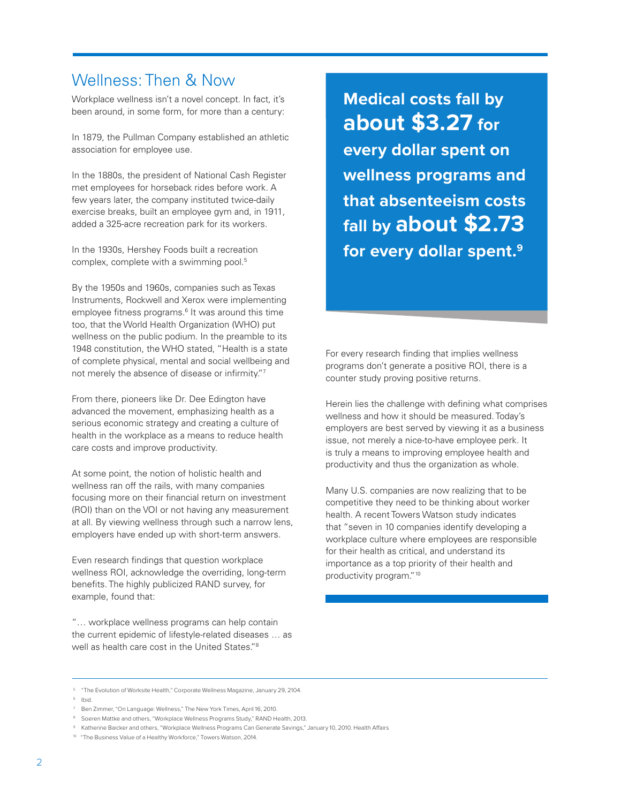### Wellness: Then & Now

Workplace wellness isn't a novel concept. In fact, it's been around, in some form, for more than a century:

In 1879, the Pullman Company established an athletic association for employee use.

In the 1880s, the president of National Cash Register met employees for horseback rides before work. A few years later, the company instituted twice-daily exercise breaks, built an employee gym and, in 1911, added a 325-acre recreation park for its workers.

In the 1930s, Hershey Foods built a recreation complex, complete with a swimming pool.5

By the 1950s and 1960s, companies such as Texas Instruments, Rockwell and Xerox were implementing employee fitness programs.<sup>6</sup> It was around this time too, that the World Health Organization (WHO) put wellness on the public podium. In the preamble to its 1948 constitution, the WHO stated, "Health is a state of complete physical, mental and social wellbeing and not merely the absence of disease or infirmity."7

From there, pioneers like Dr. Dee Edington have advanced the movement, emphasizing health as a serious economic strategy and creating a culture of health in the workplace as a means to reduce health care costs and improve productivity.

At some point, the notion of holistic health and wellness ran off the rails, with many companies focusing more on their financial return on investment (ROI) than on the VOI or not having any measurement at all. By viewing wellness through such a narrow lens, employers have ended up with short-term answers.

Even research findings that question workplace wellness ROI, acknowledge the overriding, long-term benefits. The highly publicized RAND survey, for example, found that:

"… workplace wellness programs can help contain the current epidemic of lifestyle-related diseases … as well as health care cost in the United States."8

**Medical costs fall by about \$3.27 for every dollar spent on wellness programs and that absenteeism costs fall by about \$2.73 for every dollar spent.9**

For every research finding that implies wellness programs don't generate a positive ROI, there is a counter study proving positive returns.

Herein lies the challenge with defining what comprises wellness and how it should be measured. Today's employers are best served by viewing it as a business issue, not merely a nice-to-have employee perk. It is truly a means to improving employee health and productivity and thus the organization as whole.

Many U.S. companies are now realizing that to be competitive they need to be thinking about worker health. A recent Towers Watson study indicates that "seven in 10 companies identify developing a workplace culture where employees are responsible for their health as critical, and understand its importance as a top priority of their health and productivity program."10

<sup>5</sup> "The Evolution of Worksite Health," Corporate Wellness Magazine, January 29, 2104.

<sup>6</sup> Ibid.

<sup>7</sup> Ben Zimmer, "On Language: Wellness," The New York Times, April 16, 2010.

<sup>8</sup> Soeren Mattke and others, "Workplace Wellness Programs Study," RAND Health, 2013.

<sup>9</sup> Katherine Baicker and others, "Workplace Wellness Programs Can Generate Savings," January 10, 2010. Health Affairs

<sup>&</sup>lt;sup>10</sup> "The Business Value of a Healthy Workforce." Towers Watson, 2014.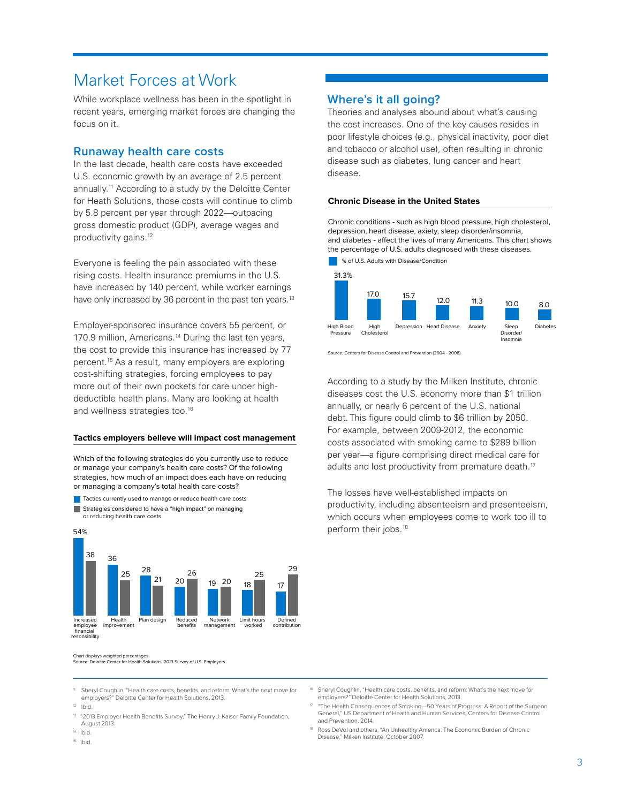### Market Forces at Work

While workplace wellness has been in the spotlight in recent years, emerging market forces are changing the focus on it.

#### **Runaway health care costs**

In the last decade, health care costs have exceeded U.S. economic growth by an average of 2.5 percent annually.11 According to a study by the Deloitte Center for Heath Solutions, those costs will continue to climb by 5.8 percent per year through 2022—outpacing gross domestic product (GDP), average wages and productivity gains.<sup>12</sup>

Everyone is feeling the pain associated with these rising costs. Health insurance premiums in the U.S. have increased by 140 percent, while worker earnings have only increased by 36 percent in the past ten years.<sup>13</sup>

Employer-sponsored insurance covers 55 percent, or 170.9 million, Americans.<sup>14</sup> During the last ten years, the cost to provide this insurance has increased by 77 percent.15 As a result, many employers are exploring cost-shifting strategies, forcing employees to pay more out of their own pockets for care under highdeductible health plans. Many are looking at health and wellness strategies too.<sup>16</sup>

#### **Tactics employers believe will impact cost management**

Which of the following strategies do you currently use to reduce or manage your company's health care costs? Of the following strategies, how much of an impact does each have on reducing or managing a company's total health care costs?





Chart displays weighted percentages Source: Deloitte Center for Health Solutions: 2013 Survey of U.S. Employers

#### **Where's it all going?**

Theories and analyses abound about what's causing the cost increases. One of the key causes resides in poor lifestyle choices (e.g., physical inactivity, poor diet and tobacco or alcohol use), often resulting in chronic disease such as diabetes, lung cancer and heart disease.

#### **Chronic Disease in the United States**

Chronic conditions - such as high blood pressure, high cholesterol, depression, heart disease, axiety, sleep disorder/insomnia, and diabetes - affect the lives of many Americans. This chart shows the percentage of U.S. adults diagnosed with these diseases.



Source: Centers for Disease Control and Prevention (2004 - 2008)

According to a study by the Milken Institute, chronic diseases cost the U.S. economy more than \$1 trillion annually, or nearly 6 percent of the U.S. national debt. This figure could climb to \$6 trillion by 2050. For example, between 2009-2012, the economic costs associated with smoking came to \$289 billion per year—a figure comprising direct medical care for adults and lost productivity from premature death.<sup>17</sup>

The losses have well-established impacts on productivity, including absenteeism and presenteeism, which occurs when employees come to work too ill to perform their jobs.<sup>18</sup>

Sheryl Coughlin, "Health care costs, benefits, and reform: What's the next move for employers?" Deloitte Center for Health Solutions, 2013.

- <sup>13</sup> "2013 Employer Health Benefits Survey," The Henry J. Kaiser Family Foundation, August 2013.
- 14 Ibid.
- 15 Ibid.
- Sheryl Coughlin, "Health care costs, benefits, and reform: What's the next move for employers?" Deloitte Center for Health Solutions, 2013.
- <sup>17</sup> "The Health Consequences of Smoking—50 Years of Progress: A Report of the Surgeon General," US Department of Health and Human Services, Centers for Disease Control and Prevention, 2014.
- Ross DeVol and others, "An Unhealthy America: The Economic Burden of Chronic Disease," Milken Institute, October 2007.

 $12$  Ibid.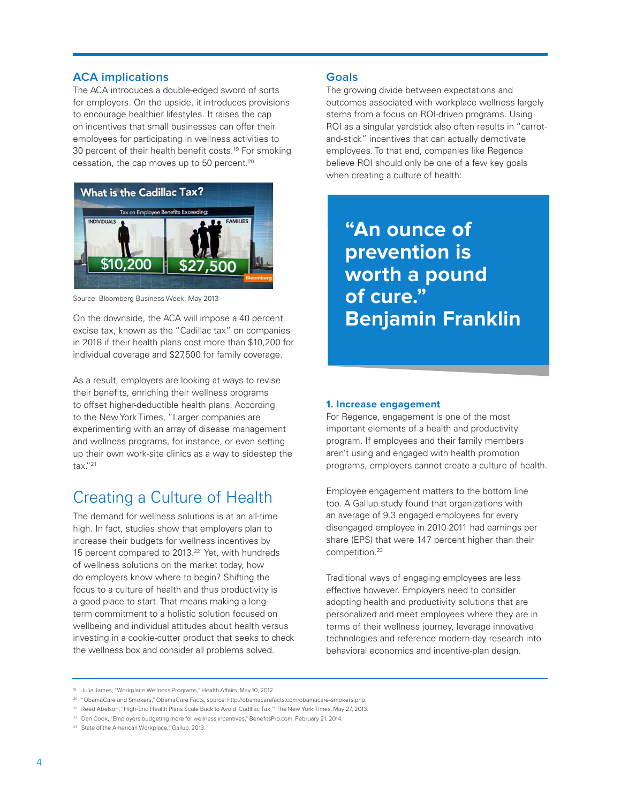#### **ACA implications**

The ACA introduces a double-edged sword of sorts for employers. On the upside, it introduces provisions to encourage healthier lifestyles. It raises the cap on incentives that small businesses can offer their employees for participating in wellness activities to 30 percent of their health benefit costs.<sup>19</sup> For smoking cessation, the cap moves up to 50 percent.<sup>20</sup>



Source: Bloomberg Business Week, May 2013

On the downside, the ACA will impose a 40 percent excise tax, known as the "Cadillac tax" on companies in 2018 if their health plans cost more than \$10,200 for individual coverage and \$27,500 for family coverage.

As a result, employers are looking at ways to revise their benefits, enriching their wellness programs to offset higher-deductible health plans. According to the New York Times, "Larger companies are experimenting with an array of disease management and wellness programs, for instance, or even setting up their own work-site clinics as a way to sidestep the tax."21

### Creating a Culture of Health

The demand for wellness solutions is at an all-time high. In fact, studies show that employers plan to increase their budgets for wellness incentives by 15 percent compared to 2013.<sup>22</sup> Yet, with hundreds of wellness solutions on the market today, how do employers know where to begin? Shifting the focus to a culture of health and thus productivity is a good place to start. That means making a longterm commitment to a holistic solution focused on wellbeing and individual attitudes about health versus investing in a cookie-cutter product that seeks to check the wellness box and consider all problems solved.

#### **Goals**

The growing divide between expectations and outcomes associated with workplace wellness largely stems from a focus on ROI-driven programs. Using ROI as a singular yardstick also often results in "carrotand-stick" incentives that can actually demotivate employees. To that end, companies like Regence believe ROI should only be one of a few key goals when creating a culture of health:

# **"An ounce of prevention is worth a pound of cure." Benjamin Franklin**

#### **1. Increase engagement**

For Regence, engagement is one of the most important elements of a health and productivity program. If employees and their family members aren't using and engaged with health promotion programs, employers cannot create a culture of health.

Employee engagement matters to the bottom line too. A Gallup study found that organizations with an average of 9.3 engaged employees for every disengaged employee in 2010-2011 had earnings per share (EPS) that were 147 percent higher than their competition.23

Traditional ways of engaging employees are less effective however. Employers need to consider adopting health and productivity solutions that are personalized and meet employees where they are in terms of their wellness journey, leverage innovative technologies and reference modern-day research into behavioral economics and incentive-plan design.

<sup>&</sup>lt;sup>19</sup> Julia James, "Workplace Wellness Programs," Health Affairs, May 10, 2012.

<sup>20</sup> "ObamaCare and Smokers," ObamaCare Facts, source: http://obamacarefacts.com/obamacare-smokers.php.

<sup>21</sup> Reed Abelson, "High-End Health Plans Scale Back to Avoid 'Cadillac Tax,'" The New York Times, May 27, 2013.

<sup>&</sup>lt;sup>22</sup> Dan Cook, "Employers budgeting more for wellness incentives," BenefitsPro.com, February 21, 2014.

<sup>&</sup>lt;sup>23</sup> State of the American Workplace," Gallup, 2013.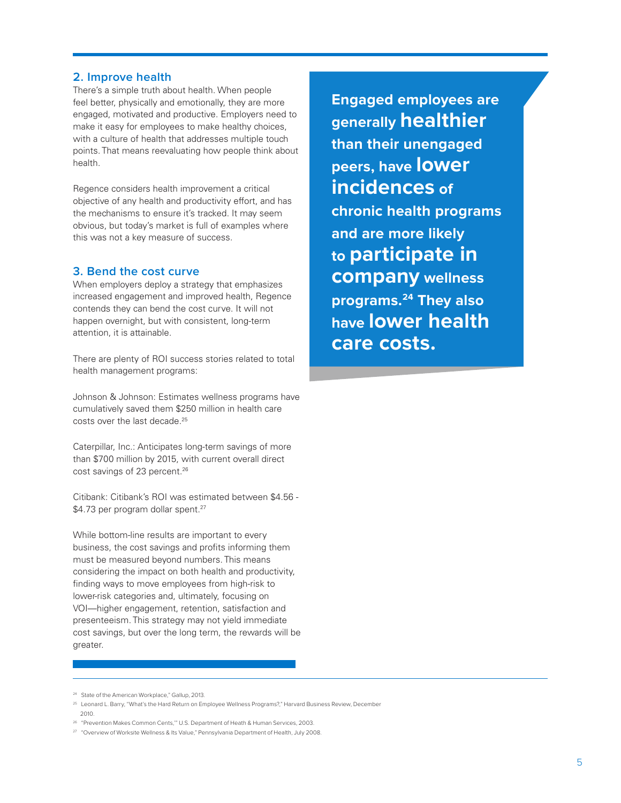#### **2. Improve health**

There's a simple truth about health. When people feel better, physically and emotionally, they are more engaged, motivated and productive. Employers need to make it easy for employees to make healthy choices, with a culture of health that addresses multiple touch points. That means reevaluating how people think about health.

Regence considers health improvement a critical objective of any health and productivity effort, and has the mechanisms to ensure it's tracked. It may seem obvious, but today's market is full of examples where this was not a key measure of success.

#### **3. Bend the cost curve**

When employers deploy a strategy that emphasizes increased engagement and improved health, Regence contends they can bend the cost curve. It will not happen overnight, but with consistent, long-term attention, it is attainable.

There are plenty of ROI success stories related to total health management programs:

Johnson & Johnson: Estimates wellness programs have cumulatively saved them \$250 million in health care costs over the last decade.25

Caterpillar, Inc.: Anticipates long-term savings of more than \$700 million by 2015, with current overall direct cost savings of 23 percent.<sup>26</sup>

Citibank: Citibank's ROI was estimated between \$4.56 - \$4.73 per program dollar spent.<sup>27</sup>

While bottom-line results are important to every business, the cost savings and profits informing them must be measured beyond numbers. This means considering the impact on both health and productivity, finding ways to move employees from high-risk to lower-risk categories and, ultimately, focusing on VOI—higher engagement, retention, satisfaction and presenteeism. This strategy may not yield immediate cost savings, but over the long term, the rewards will be greater.

**Engaged employees are generally healthier than their unengaged peers, have lower incidences of chronic health programs and are more likely to participate in company wellness programs.24 They also have lower health care costs.**

<sup>&</sup>lt;sup>24</sup> State of the American Workplace," Gallup, 2013.

<sup>25</sup> Leonard L. Barry, "What's the Hard Return on Employee Wellness Programs?," Harvard Business Review, December 2010.

<sup>26</sup> "Prevention Makes Common Cents,'" U.S. Department of Heath & Human Services, 2003.

<sup>&</sup>lt;sup>27</sup> "Overview of Worksite Wellness & Its Value," Pennsylvania Department of Health, July 2008.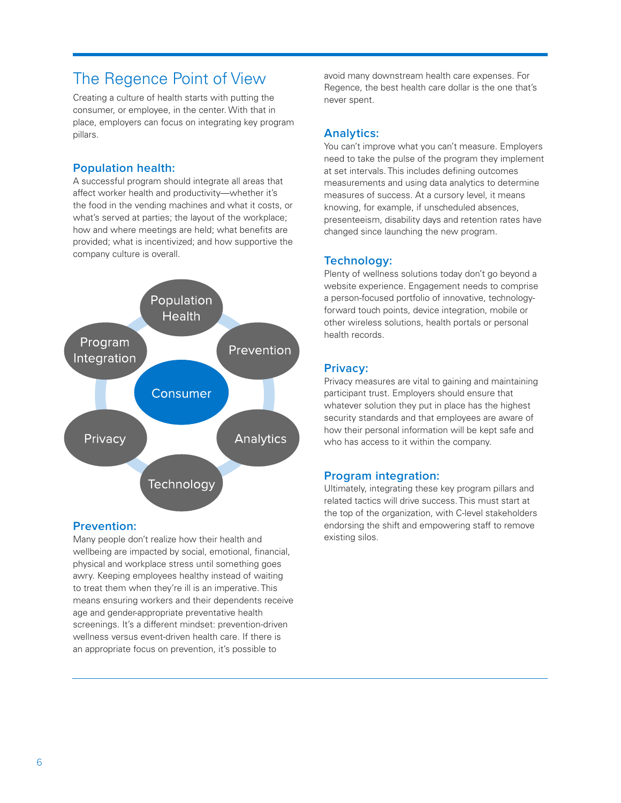### The Regence Point of View

Creating a culture of health starts with putting the consumer, or employee, in the center. With that in place, employers can focus on integrating key program pillars.

#### **Population health:**

A successful program should integrate all areas that affect worker health and productivity—whether it's the food in the vending machines and what it costs, or what's served at parties; the layout of the workplace; how and where meetings are held; what benefits are provided; what is incentivized; and how supportive the company culture is overall.



#### **Prevention:**

Many people don't realize how their health and wellbeing are impacted by social, emotional, financial, physical and workplace stress until something goes awry. Keeping employees healthy instead of waiting to treat them when they're ill is an imperative. This means ensuring workers and their dependents receive age and gender-appropriate preventative health screenings. It's a different mindset: prevention-driven wellness versus event-driven health care. If there is an appropriate focus on prevention, it's possible to

avoid many downstream health care expenses. For Regence, the best health care dollar is the one that's never spent.

#### **Analytics:**

You can't improve what you can't measure. Employers need to take the pulse of the program they implement at set intervals. This includes defining outcomes measurements and using data analytics to determine measures of success. At a cursory level, it means knowing, for example, if unscheduled absences, presenteeism, disability days and retention rates have changed since launching the new program.

#### **Technology:**

Plenty of wellness solutions today don't go beyond a website experience. Engagement needs to comprise a person-focused portfolio of innovative, technologyforward touch points, device integration, mobile or other wireless solutions, health portals or personal health records.

#### **Privacy:**

Privacy measures are vital to gaining and maintaining participant trust. Employers should ensure that whatever solution they put in place has the highest security standards and that employees are aware of how their personal information will be kept safe and who has access to it within the company.

#### **Program integration:**

Ultimately, integrating these key program pillars and related tactics will drive success. This must start at the top of the organization, with C-level stakeholders endorsing the shift and empowering staff to remove existing silos.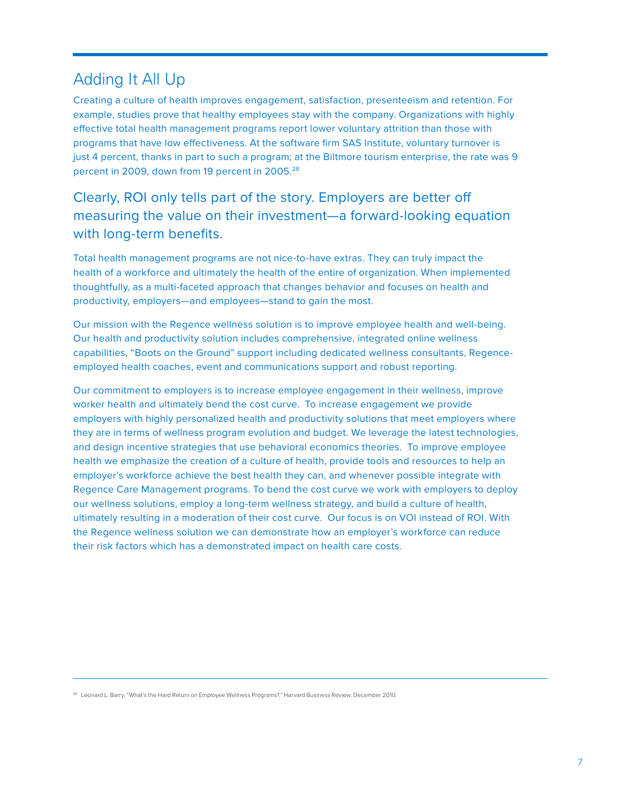### Adding It All Up

Creating a culture of health improves engagement, satisfaction, presenteeism and retention. For example, studies prove that healthy employees stay with the company. Organizations with highly effective total health management programs report lower voluntary attrition than those with programs that have low effectiveness. At the software firm SAS Institute, voluntary turnover is just 4 percent, thanks in part to such a program; at the Biltmore tourism enterprise, the rate was 9 percent in 2009, down from 19 percent in 2005.<sup>28</sup>

Clearly, ROI only tells part of the story. Employers are better off measuring the value on their investment—a forward-looking equation with long-term benefits.

Total health management programs are not nice-to-have extras. They can truly impact the health of a workforce and ultimately the health of the entire of organization. When implemented thoughtfully, as a multi-faceted approach that changes behavior and focuses on health and productivity, employers—and employees—stand to gain the most.

Our mission with the Regence wellness solution is to improve employee health and well-being. Our health and productivity solution includes comprehensive, integrated online wellness capabilities, "Boots on the Ground" support including dedicated wellness consultants, Regenceemployed health coaches, event and communications support and robust reporting.

Our commitment to employers is to increase employee engagement in their wellness, improve worker health and ultimately bend the cost curve. To increase engagement we provide employers with highly personalized health and productivity solutions that meet employers where they are in terms of wellness program evolution and budget. We leverage the latest technologies, and design incentive strategies that use behavioral economics theories. To improve employee health we emphasize the creation of a culture of health, provide tools and resources to help an employer's workforce achieve the best health they can, and whenever possible integrate with Regence Care Management programs. To bend the cost curve we work with employers to deploy our wellness solutions, employ a long-term wellness strategy, and build a culture of health, ultimately resulting in a moderation of their cost curve. Our focus is on VOI instead of ROI. With the Regence wellness solution we can demonstrate how an employer's workforce can reduce their risk factors which has a demonstrated impact on health care costs.

<sup>28</sup> Leonard L. Barry, "What's the Hard Return on Employee Wellness Programs?," Harvard Business Review, December 2010.